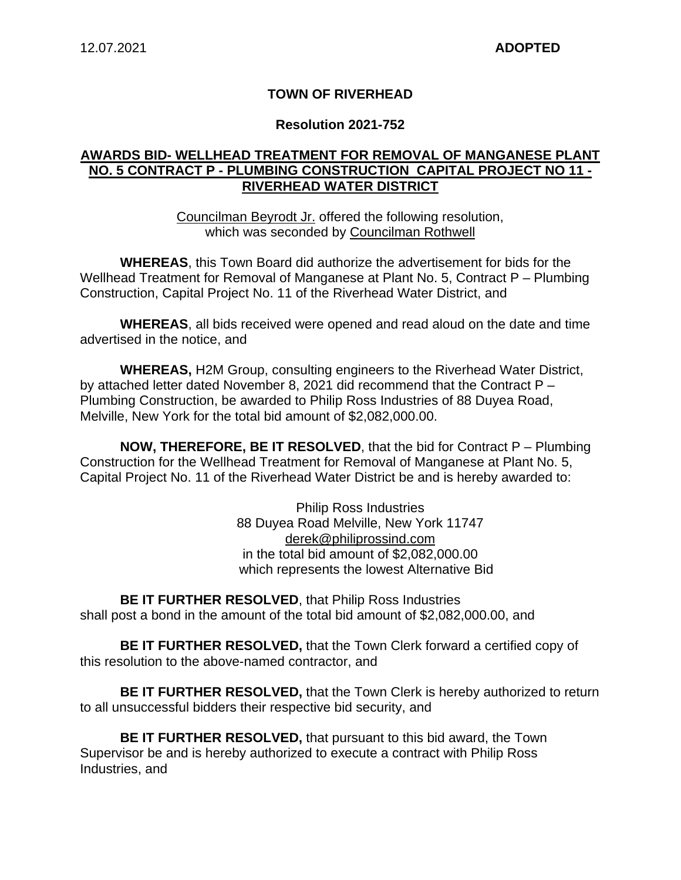### **TOWN OF RIVERHEAD**

#### **Resolution 2021-752**

### **AWARDS BID- WELLHEAD TREATMENT FOR REMOVAL OF MANGANESE PLANT NO. 5 CONTRACT P - PLUMBING CONSTRUCTION CAPITAL PROJECT NO 11 - RIVERHEAD WATER DISTRICT**

Councilman Beyrodt Jr. offered the following resolution, which was seconded by Councilman Rothwell

**WHEREAS**, this Town Board did authorize the advertisement for bids for the Wellhead Treatment for Removal of Manganese at Plant No. 5, Contract P – Plumbing Construction, Capital Project No. 11 of the Riverhead Water District, and

**WHEREAS**, all bids received were opened and read aloud on the date and time advertised in the notice, and

**WHEREAS,** H2M Group, consulting engineers to the Riverhead Water District, by attached letter dated November 8, 2021 did recommend that the Contract P – Plumbing Construction, be awarded to Philip Ross Industries of 88 Duyea Road, Melville, New York for the total bid amount of \$2,082,000.00.

**NOW, THEREFORE, BE IT RESOLVED**, that the bid for Contract P – Plumbing Construction for the Wellhead Treatment for Removal of Manganese at Plant No. 5, Capital Project No. 11 of the Riverhead Water District be and is hereby awarded to:

> Philip Ross Industries 88 Duyea Road Melville, New York 11747 derek@philiprossind.com in the total bid amount of \$2,082,000.00 which represents the lowest Alternative Bid

**BE IT FURTHER RESOLVED**, that Philip Ross Industries shall post a bond in the amount of the total bid amount of \$2,082,000.00, and

**BE IT FURTHER RESOLVED,** that the Town Clerk forward a certified copy of this resolution to the above-named contractor, and

**BE IT FURTHER RESOLVED,** that the Town Clerk is hereby authorized to return to all unsuccessful bidders their respective bid security, and

**BE IT FURTHER RESOLVED,** that pursuant to this bid award, the Town Supervisor be and is hereby authorized to execute a contract with Philip Ross Industries, and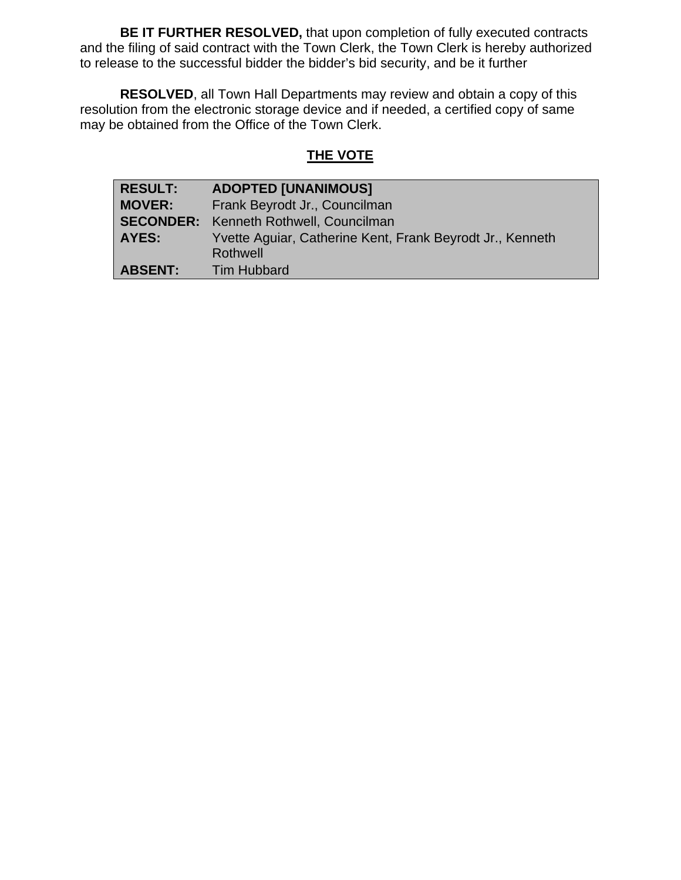**BE IT FURTHER RESOLVED,** that upon completion of fully executed contracts and the filing of said contract with the Town Clerk, the Town Clerk is hereby authorized to release to the successful bidder the bidder's bid security, and be it further

**RESOLVED**, all Town Hall Departments may review and obtain a copy of this resolution from the electronic storage device and if needed, a certified copy of same may be obtained from the Office of the Town Clerk.

# **THE VOTE**

| <b>RESULT:</b> | <b>ADOPTED [UNANIMOUS]</b>                                |  |
|----------------|-----------------------------------------------------------|--|
| <b>MOVER:</b>  | Frank Beyrodt Jr., Councilman                             |  |
|                | <b>SECONDER:</b> Kenneth Rothwell, Councilman             |  |
| <b>AYES:</b>   | Yvette Aguiar, Catherine Kent, Frank Beyrodt Jr., Kenneth |  |
|                | Rothwell                                                  |  |
| <b>ABSENT:</b> | <b>Tim Hubbard</b>                                        |  |